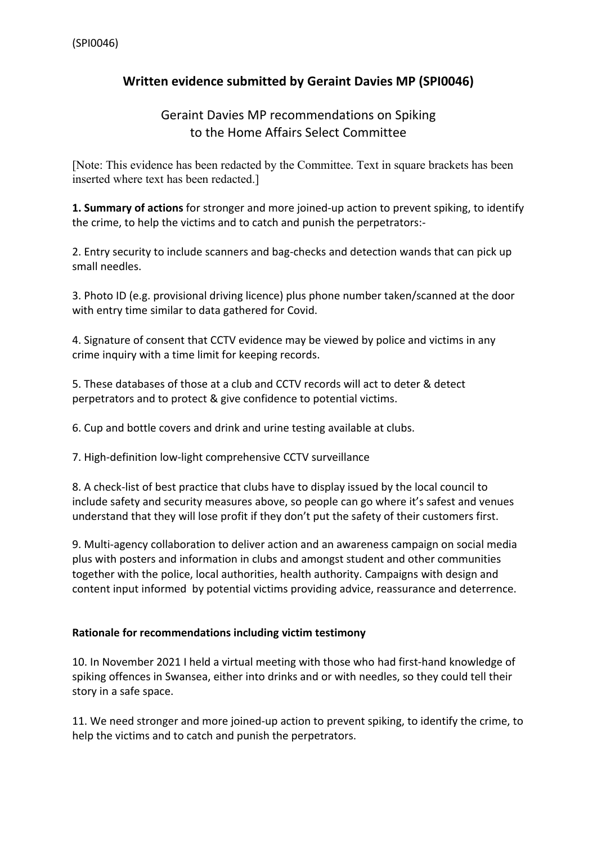## **Written evidence submitted by Geraint Davies MP (SPI0046)**

## Geraint Davies MP recommendations on Spiking to the Home Affairs Select Committee

[Note: This evidence has been redacted by the Committee. Text in square brackets has been inserted where text has been redacted.]

**1. Summary of actions** for stronger and more joined-up action to prevent spiking, to identify the crime, to help the victims and to catch and punish the perpetrators:-

2. Entry security to include scanners and bag-checks and detection wands that can pick up small needles.

3. Photo ID (e.g. provisional driving licence) plus phone number taken/scanned at the door with entry time similar to data gathered for Covid.

4. Signature of consent that CCTV evidence may be viewed by police and victims in any crime inquiry with a time limit for keeping records.

5. These databases of those at a club and CCTV records will act to deter & detect perpetrators and to protect & give confidence to potential victims.

6. Cup and bottle covers and drink and urine testing available at clubs.

7. High-definition low-light comprehensive CCTV surveillance

8. A check-list of best practice that clubs have to display issued by the local council to include safety and security measures above, so people can go where it's safest and venues understand that they will lose profit if they don't put the safety of their customers first.

9. Multi-agency collaboration to deliver action and an awareness campaign on social media plus with posters and information in clubs and amongst student and other communities together with the police, local authorities, health authority. Campaigns with design and content input informed by potential victims providing advice, reassurance and deterrence.

## **Rationale for recommendations including victim testimony**

10. In November 2021 I held a virtual meeting with those who had first-hand knowledge of spiking offences in Swansea, either into drinks and or with needles, so they could tell their story in a safe space.

11. We need stronger and more joined-up action to prevent spiking, to identify the crime, to help the victims and to catch and punish the perpetrators.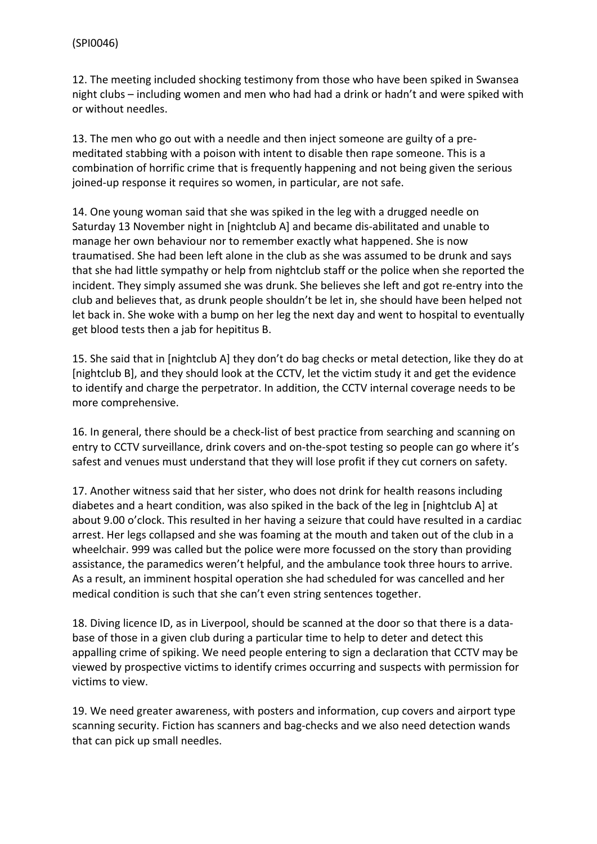12. The meeting included shocking testimony from those who have been spiked in Swansea night clubs – including women and men who had had a drink or hadn't and were spiked with or without needles.

13. The men who go out with a needle and then inject someone are guilty of a premeditated stabbing with a poison with intent to disable then rape someone. This is a combination of horrific crime that is frequently happening and not being given the serious joined-up response it requires so women, in particular, are not safe.

14. One young woman said that she was spiked in the leg with a drugged needle on Saturday 13 November night in [nightclub A] and became dis-abilitated and unable to manage her own behaviour nor to remember exactly what happened. She is now traumatised. She had been left alone in the club as she was assumed to be drunk and says that she had little sympathy or help from nightclub staff or the police when she reported the incident. They simply assumed she was drunk. She believes she left and got re-entry into the club and believes that, as drunk people shouldn't be let in, she should have been helped not let back in. She woke with a bump on her leg the next day and went to hospital to eventually get blood tests then a jab for hepititus B.

15. She said that in [nightclub A] they don't do bag checks or metal detection, like they do at [nightclub B], and they should look at the CCTV, let the victim study it and get the evidence to identify and charge the perpetrator. In addition, the CCTV internal coverage needs to be more comprehensive.

16. In general, there should be a check-list of best practice from searching and scanning on entry to CCTV surveillance, drink covers and on-the-spot testing so people can go where it's safest and venues must understand that they will lose profit if they cut corners on safety.

17. Another witness said that her sister, who does not drink for health reasons including diabetes and a heart condition, was also spiked in the back of the leg in [nightclub A] at about 9.00 o'clock. This resulted in her having a seizure that could have resulted in a cardiac arrest. Her legs collapsed and she was foaming at the mouth and taken out of the club in a wheelchair. 999 was called but the police were more focussed on the story than providing assistance, the paramedics weren't helpful, and the ambulance took three hours to arrive. As a result, an imminent hospital operation she had scheduled for was cancelled and her medical condition is such that she can't even string sentences together.

18. Diving licence ID, as in Liverpool, should be scanned at the door so that there is a database of those in a given club during a particular time to help to deter and detect this appalling crime of spiking. We need people entering to sign a declaration that CCTV may be viewed by prospective victims to identify crimes occurring and suspects with permission for victims to view.

19. We need greater awareness, with posters and information, cup covers and airport type scanning security. Fiction has scanners and bag-checks and we also need detection wands that can pick up small needles.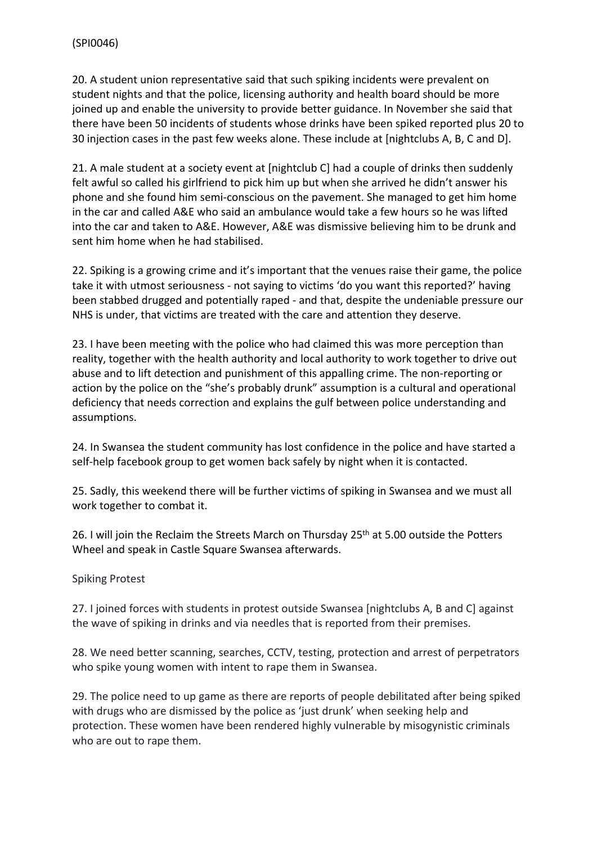20. A student union representative said that such spiking incidents were prevalent on student nights and that the police, licensing authority and health board should be more joined up and enable the university to provide better guidance. In November she said that there have been 50 incidents of students whose drinks have been spiked reported plus 20 to 30 injection cases in the past few weeks alone. These include at [nightclubs A, B, C and D].

21. A male student at a society event at [nightclub C] had a couple of drinks then suddenly felt awful so called his girlfriend to pick him up but when she arrived he didn't answer his phone and she found him semi-conscious on the pavement. She managed to get him home in the car and called A&E who said an ambulance would take a few hours so he was lifted into the car and taken to A&E. However, A&E was dismissive believing him to be drunk and sent him home when he had stabilised.

22. Spiking is a growing crime and it's important that the venues raise their game, the police take it with utmost seriousness - not saying to victims 'do you want this reported?' having been stabbed drugged and potentially raped - and that, despite the undeniable pressure our NHS is under, that victims are treated with the care and attention they deserve.

23. I have been meeting with the police who had claimed this was more perception than reality, together with the health authority and local authority to work together to drive out abuse and to lift detection and punishment of this appalling crime. The non-reporting or action by the police on the "she's probably drunk" assumption is a cultural and operational deficiency that needs correction and explains the gulf between police understanding and assumptions.

24. In Swansea the student community has lost confidence in the police and have started a self-help facebook group to get women back safely by night when it is contacted.

25. Sadly, this weekend there will be further victims of spiking in Swansea and we must all work together to combat it.

26. I will join the Reclaim the Streets March on Thursday 25<sup>th</sup> at 5.00 outside the Potters Wheel and speak in Castle Square Swansea afterwards.

Spiking Protest

27. I joined forces with students in protest outside Swansea [nightclubs A, B and C] against the wave of spiking in drinks and via needles that is reported from their premises.

28. We need better scanning, searches, CCTV, testing, protection and arrest of perpetrators who spike young women with intent to rape them in Swansea.

29. The police need to up game as there are reports of people debilitated after being spiked with drugs who are dismissed by the police as 'just drunk' when seeking help and protection. These women have been rendered highly vulnerable by misogynistic criminals who are out to rape them.